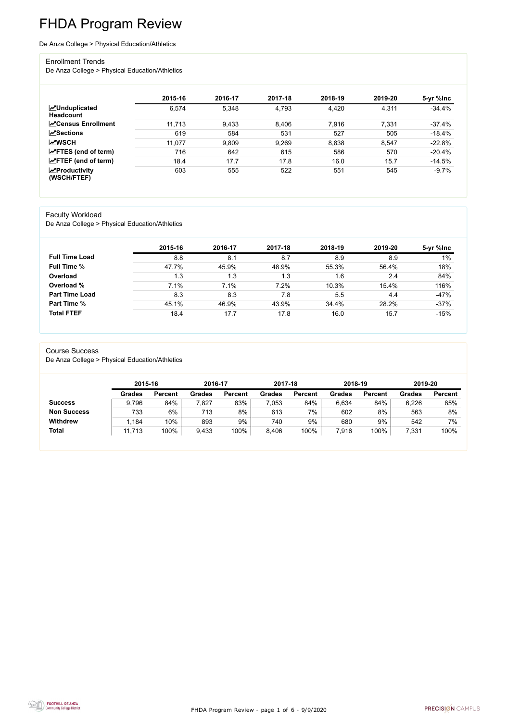FHDA Program Review - page 1 of 6 - 9/9/2020



# FHDA Program Review

#### De Anza College > Physical Education/Athletics

#### Enrollment Trends

De Anza College > Physical Education/Athletics

|                                          | 2015-16 | 2016-17 | 2017-18 | 2018-19 | 2019-20 | 5-yr %lnc |
|------------------------------------------|---------|---------|---------|---------|---------|-----------|
| <b>MUnduplicated</b><br><b>Headcount</b> | 6,574   | 5,348   | 4,793   | 4,420   | 4,311   | $-34.4%$  |
| <b>∠</b> Census Enrollment               | 11,713  | 9,433   | 8,406   | 7,916   | 7,331   | $-37.4%$  |
| <b>ZSections</b>                         | 619     | 584     | 531     | 527     | 505     | $-18.4\%$ |
| <b>MWSCH</b>                             | 11,077  | 9,809   | 9,269   | 8,838   | 8,547   | $-22.8%$  |
| $\angle$ FTES (end of term)              | 716     | 642     | 615     | 586     | 570     | $-20.4%$  |
| $\angle$ FTEF (end of term)              | 18.4    | 17.7    | 17.8    | 16.0    | 15.7    | $-14.5%$  |
| $\chi$ Productivity<br>(WSCH/FTEF)       | 603     | 555     | 522     | 551     | 545     | $-9.7%$   |

#### Faculty Workload

De Anza College > Physical Education/Athletics

|                       | 2015-16 | 2016-17 | 2017-18 | 2018-19 | 2019-20 | 5-yr %lnc |
|-----------------------|---------|---------|---------|---------|---------|-----------|
| <b>Full Time Load</b> | 8.8     | 8.1     | 8.7     | 8.9     | 8.9     | 1%        |
| <b>Full Time %</b>    | 47.7%   | 45.9%   | 48.9%   | 55.3%   | 56.4%   | 18%       |
| Overload              | 1.3     | 1.3     | 1.3     | 1.6     | 2.4     | 84%       |
| Overload %            | 7.1%    | 7.1%    | 7.2%    | 10.3%   | 15.4%   | 116%      |
| <b>Part Time Load</b> | 8.3     | 8.3     | 7.8     | 5.5     | 4.4     | $-47%$    |
| <b>Part Time %</b>    | 45.1%   | 46.9%   | 43.9%   | 34.4%   | 28.2%   | $-37%$    |
| <b>Total FTEF</b>     | 18.4    | 17.7    | 17.8    | 16.0    | 15.7    | $-15%$    |

#### Course Success

De Anza College > Physical Education/Athletics

|                    |               | 2015-16        |               | 2016-17        | 2017-18       |                | 2018-19       |                | 2019-20       |                |
|--------------------|---------------|----------------|---------------|----------------|---------------|----------------|---------------|----------------|---------------|----------------|
|                    | <b>Grades</b> | <b>Percent</b> | <b>Grades</b> | <b>Percent</b> | <b>Grades</b> | <b>Percent</b> | <b>Grades</b> | <b>Percent</b> | <b>Grades</b> | <b>Percent</b> |
| <b>Success</b>     | 9,796         | 84%            | 7,827         | 83%            | 7,053         | 84%            | 6,634         | 84%            | 6,226         | 85%            |
| <b>Non Success</b> | 733           | 6%             | 713           | 8%             | 613           | 7%             | 602           | 8%             | 563           | 8%             |
| <b>Withdrew</b>    | .184          | 10%            | 893           | 9%             | 740           | 9%             | 680           | 9%             | 542           | 7%             |
| <b>Total</b>       | 11,713        | 100%           | 9,433         | 100%           | 8,406         | 100%           | 7,916         | 100%           | 7,331         | 100%           |

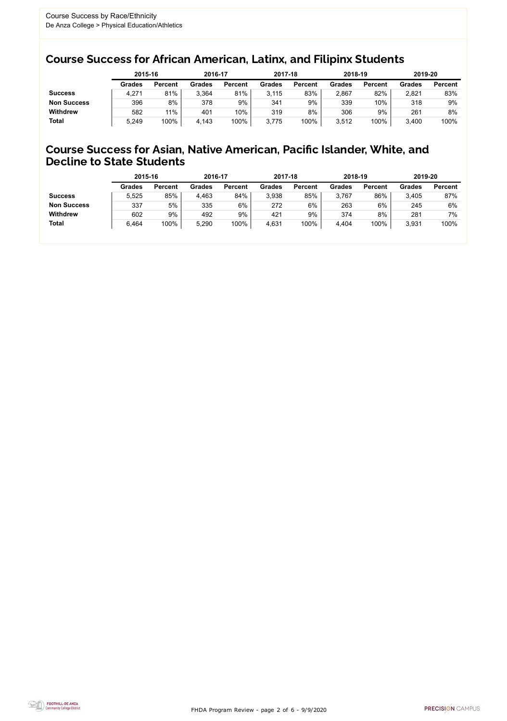FHDA Program Review - page 2 of 6 - 9/9/2020



### Course Success for African American, Latinx, and Filipinx Students

### Course Success for Asian, Native American, Pacific Islander, White, and Decline to State Students

|                    | 2015-16       |                | 2016-17       |                | 2017-18       |                | 2018-19       |                | 2019-20       |                |
|--------------------|---------------|----------------|---------------|----------------|---------------|----------------|---------------|----------------|---------------|----------------|
|                    | <b>Grades</b> | <b>Percent</b> | <b>Grades</b> | <b>Percent</b> | <b>Grades</b> | <b>Percent</b> | <b>Grades</b> | <b>Percent</b> | <b>Grades</b> | <b>Percent</b> |
| <b>Success</b>     | 4,271         | 81%            | 3,364         | 81%            | 3.115         | 83%            | 2,867         | 82%            | 2,821         | 83%            |
| <b>Non Success</b> | 396           | 8%             | 378           | 9%             | 341           | 9%             | 339           | 10%            | 318           | 9%             |
| <b>Withdrew</b>    | 582           | 11%            | 401           | 10%            | 319           | 8%             | 306           | 9%             | 261           | 8%             |
| <b>Total</b>       | 5,249         | 100%           | 4,143         | 100%           | 3,775         | 100%           | 3,512         | 100%           | 3,400         | 100%           |

|                    | 2015-16       |                | 2016-17       |                | 2017-18       |                | 2018-19       |                | 2019-20       |                |
|--------------------|---------------|----------------|---------------|----------------|---------------|----------------|---------------|----------------|---------------|----------------|
|                    | <b>Grades</b> | <b>Percent</b> | <b>Grades</b> | <b>Percent</b> | <b>Grades</b> | <b>Percent</b> | <b>Grades</b> | <b>Percent</b> | <b>Grades</b> | <b>Percent</b> |
| <b>Success</b>     | 5,525         | 85%            | 4,463         | 84%            | 3,938         | 85%            | 3,767         | 86%            | 3,405         | 87%            |
| <b>Non Success</b> | 337           | 5%             | 335           | $6\%$          | 272           | 6%             | 263           | 6%             | 245           | 6%             |
| <b>Withdrew</b>    | 602           | 9%             | 492           | 9%             | 421           | 9%             | 374           | 8%             | 281           | $7\%$          |
| <b>Total</b>       | 6,464         | 100%           | 5,290         | 100%           | 4,631         | 100%           | 4,404         | 100%           | 3,931         | 100%           |
|                    |               |                |               |                |               |                |               |                |               |                |

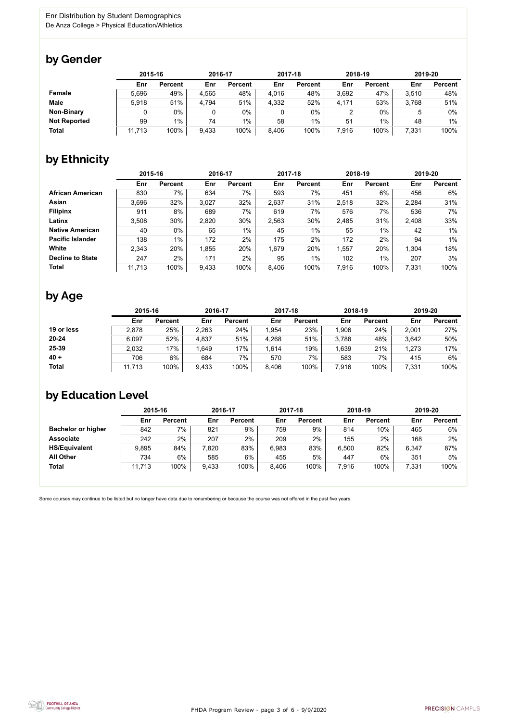FHDA Program Review - page 3 of 6 - 9/9/2020



Some courses may continue to be listed but no longer have data due to renumbering or because the course was not offered in the past five years.



### by Gender

|                     |        | 2015-16        |       | 2016-17        |       | 2017-18        | 2018-19 |                | 2019-20 |                |
|---------------------|--------|----------------|-------|----------------|-------|----------------|---------|----------------|---------|----------------|
|                     | Enr    | <b>Percent</b> | Enr   | <b>Percent</b> | Enr   | <b>Percent</b> | Enr     | <b>Percent</b> | Enr     | <b>Percent</b> |
| <b>Female</b>       | 5,696  | 49%            | 4,565 | 48%            | 4,016 | 48%            | 3,692   | 47%            | 3,510   | 48%            |
| <b>Male</b>         | 5,918  | 51%            | 4,794 | 51%            | 4,332 | 52%            | 4,171   | 53%            | 3,768   | 51%            |
| <b>Non-Binary</b>   |        | $0\%$          | 0     | 0%             |       | 0%             |         | $0\%$          |         | 0%             |
| <b>Not Reported</b> | 99     | $1\%$          | 74    | $1\%$          | 58    | $1\%$          | 51      | $1\%$          | 48      | $1\%$          |
| <b>Total</b>        | 11,713 | 100%           | 9,433 | 100%           | 8,406 | 100%           | 7,916   | 100%           | 7,331   | 100%           |

## by Ethnicity

|                         |        | 2015-16        |       | 2016-17        |       | 2017-18        | 2018-19 |                | 2019-20 |                |
|-------------------------|--------|----------------|-------|----------------|-------|----------------|---------|----------------|---------|----------------|
|                         | Enr    | <b>Percent</b> | Enr   | <b>Percent</b> | Enr   | <b>Percent</b> | Enr     | <b>Percent</b> | Enr     | <b>Percent</b> |
| <b>African American</b> | 830    | 7%             | 634   | 7%             | 593   | 7%             | 451     | 6%             | 456     | 6%             |
| Asian                   | 3,696  | 32%            | 3,027 | 32%            | 2,637 | 31%            | 2,518   | 32%            | 2,284   | 31%            |
| <b>Filipinx</b>         | 911    | 8%             | 689   | 7%             | 619   | 7%             | 576     | 7%             | 536     | 7%             |
| Latinx                  | 3,508  | 30%            | 2,820 | 30%            | 2,563 | 30%            | 2,485   | 31%            | 2,408   | 33%            |
| <b>Native American</b>  | 40     | 0%             | 65    | $1\%$          | 45    | $1\%$          | 55      | 1%             | 42      | 1%             |
| <b>Pacific Islander</b> | 138    | $1\%$          | 172   | 2%             | 175   | 2%             | 172     | 2%             | 94      | 1%             |
| White                   | 2,343  | 20%            | 1,855 | 20%            | 1,679 | 20%            | 1,557   | 20%            | 1,304   | 18%            |
| <b>Decline to State</b> | 247    | 2%             | 171   | 2%             | 95    | $1\%$          | 102     | 1%             | 207     | 3%             |
| <b>Total</b>            | 11,713 | 100%           | 9,433 | 100%           | 8,406 | 100%           | 7,916   | 100%           | 7,331   | 100%           |

## by Age

|              | 2015-16 |                | 2016-17 |                | 2017-18 |                | 2018-19 |                | 2019-20 |                |
|--------------|---------|----------------|---------|----------------|---------|----------------|---------|----------------|---------|----------------|
|              | Enr     | <b>Percent</b> | Enr     | <b>Percent</b> | Enr     | <b>Percent</b> | Enr     | <b>Percent</b> | Enr     | <b>Percent</b> |
| 19 or less   | 2,878   | 25%            | 2,263   | 24%            | ,954    | 23%            | .906    | 24%            | 2,001   | 27%            |
| $20 - 24$    | 6,097   | 52%            | 4,837   | 51%            | 4,268   | 51%            | 3,788   | 48%            | 3,642   | 50%            |
| 25-39        | 2,032   | 17%            | 1,649   | 17%            | .614    | 19%            | ,639    | 21%            | 1,273   | 17%            |
| $40 +$       | 706     | 6%             | 684     | $7\%$          | 570     | 7%             | 583     | 7%             | 415     | 6%             |
| <b>Total</b> | 11,713  | 100%           | 9,433   | 100%           | 8,406   | 100%           | 7,916   | 100%           | 7,331   | 100%           |

## by Education Level

|                           | 2015-16 |                |       | 2016-17        |       | 2017-18        | 2018-19 |                | 2019-20 |                |
|---------------------------|---------|----------------|-------|----------------|-------|----------------|---------|----------------|---------|----------------|
|                           | Enr     | <b>Percent</b> | Enr   | <b>Percent</b> | Enr   | <b>Percent</b> | Enr     | <b>Percent</b> | Enr     | <b>Percent</b> |
| <b>Bachelor or higher</b> | 842     | 7%             | 821   | 9%             | 759   | 9%             | 814     | 10%            | 465     | 6%             |
| <b>Associate</b>          | 242     | 2%             | 207   | 2%             | 209   | 2%             | 155     | 2%             | 168     | 2%             |
| <b>HS/Equivalent</b>      | 9,895   | 84%            | 7,820 | 83%            | 6,983 | 83%            | 6,500   | 82%            | 6,347   | 87%            |
| <b>All Other</b>          | 734     | 6%             | 585   | $6\%$          | 455   | 5%             | 447     | 6%             | 351     | 5%             |
| <b>Total</b>              | 11,713  | 100%           | 9,433 | 100%           | 8,406 | 100%           | 7,916   | 100%           | 7,331   | 100%           |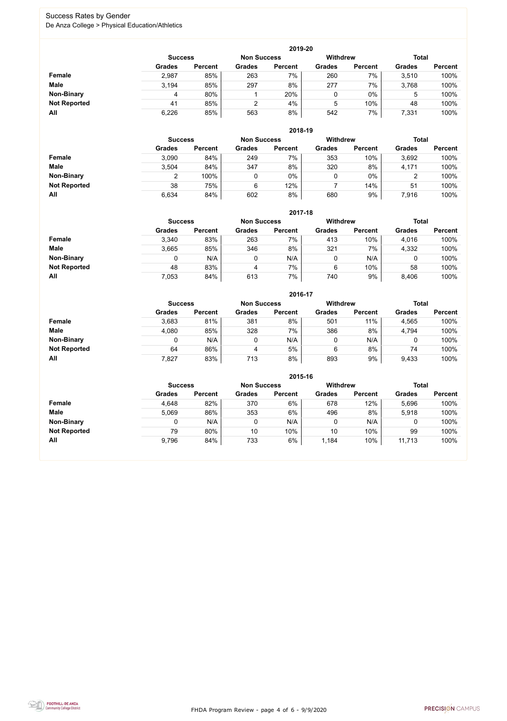FHDA Program Review - page 4 of 6 - 9/9/2020



### Success Rates by Gender De Anza College > Physical Education/Athletics

|                     |                | 2019-20        |                    |                |                 |                |               |                |  |  |  |  |  |
|---------------------|----------------|----------------|--------------------|----------------|-----------------|----------------|---------------|----------------|--|--|--|--|--|
|                     | <b>Success</b> |                | <b>Non Success</b> |                | <b>Withdrew</b> |                | <b>Total</b>  |                |  |  |  |  |  |
|                     | <b>Grades</b>  | <b>Percent</b> | <b>Grades</b>      | <b>Percent</b> | <b>Grades</b>   | <b>Percent</b> | <b>Grades</b> | <b>Percent</b> |  |  |  |  |  |
| Female              | 2,987          | 85%            | 263                | 7%             | 260             | 7%             | 3,510         | 100%           |  |  |  |  |  |
| <b>Male</b>         | 3.194          | 85%            | 297                | 8%             | 277             | 7%             | 3,768         | 100%           |  |  |  |  |  |
| <b>Non-Binary</b>   | 4              | 80%            |                    | 20%            | 0               | $0\%$          | 5             | 100%           |  |  |  |  |  |
| <b>Not Reported</b> | 41             | 85%            | 2                  | 4%             | 5               | 10%            | 48            | 100%           |  |  |  |  |  |
| All                 | 6,226          | 85%            | 563                | 8%             | 542             | 7%             | 7,331         | 100%           |  |  |  |  |  |

|                     |               | 2018-19        |                    |                |                 |                |               |                |  |  |  |  |  |  |
|---------------------|---------------|----------------|--------------------|----------------|-----------------|----------------|---------------|----------------|--|--|--|--|--|--|
|                     |               | <b>Success</b> | <b>Non Success</b> |                | <b>Withdrew</b> |                | <b>Total</b>  |                |  |  |  |  |  |  |
|                     | <b>Grades</b> | <b>Percent</b> | <b>Grades</b>      | <b>Percent</b> | <b>Grades</b>   | <b>Percent</b> | <b>Grades</b> | <b>Percent</b> |  |  |  |  |  |  |
| Female              | 3,090         | 84%            | 249                | 7%             | 353             | 10%            | 3,692         | 100%           |  |  |  |  |  |  |
| <b>Male</b>         | 3,504         | 84%            | 347                | 8%             | 320             | 8%             | 4,171         | 100%           |  |  |  |  |  |  |
| <b>Non-Binary</b>   | າ             | 100%           |                    | $0\%$          | ν               | $0\%$          | າ<br>∠        | 100%           |  |  |  |  |  |  |
| <b>Not Reported</b> | 38            | 75%            | 6                  | 12%            |                 | 14%            | 51            | 100%           |  |  |  |  |  |  |
| All                 | 6,634         | 84%            | 602                | 8%             | 680             | 9%             | 7,916         | 100%           |  |  |  |  |  |  |

|                     |               | 2017-18                                                                 |               |                |               |                |               |                |  |  |  |  |  |
|---------------------|---------------|-------------------------------------------------------------------------|---------------|----------------|---------------|----------------|---------------|----------------|--|--|--|--|--|
|                     |               | <b>Withdrew</b><br><b>Total</b><br><b>Non Success</b><br><b>Success</b> |               |                |               |                |               |                |  |  |  |  |  |
|                     | <b>Grades</b> | <b>Percent</b>                                                          | <b>Grades</b> | <b>Percent</b> | <b>Grades</b> | <b>Percent</b> | <b>Grades</b> | <b>Percent</b> |  |  |  |  |  |
| <b>Female</b>       | 3,340         | 83%                                                                     | 263           | 7%             | 413           | 10%            | 4,016         | 100%           |  |  |  |  |  |
| <b>Male</b>         | 3,665         | 85%                                                                     | 346           | 8%             | 321           | 7%             | 4,332         | 100%           |  |  |  |  |  |
| <b>Non-Binary</b>   | 0             | N/A                                                                     |               | N/A            | 0             | N/A            | υ             | 100%           |  |  |  |  |  |
| <b>Not Reported</b> | 48            | 83%                                                                     | 4             | 7%             | 6             | 10%            | 58            | 100%           |  |  |  |  |  |
| All                 | 7,053         | 84%                                                                     | 613           | 7%             | 740           | 9%             | 8,406         | 100%           |  |  |  |  |  |

|                     |               |                |               | 2016-17        |                 |                |               |                |
|---------------------|---------------|----------------|---------------|----------------|-----------------|----------------|---------------|----------------|
|                     |               | <b>Success</b> |               |                | <b>Withdrew</b> |                | <b>Total</b>  |                |
|                     | <b>Grades</b> | <b>Percent</b> | <b>Grades</b> | <b>Percent</b> | <b>Grades</b>   | <b>Percent</b> | <b>Grades</b> | <b>Percent</b> |
| <b>Female</b>       | 3,683         | 81%            | 381           | 8%             | 501             | 11%            | 4,565         | 100%           |
| <b>Male</b>         | 4,080         | 85%            | 328           | 7%             | 386             | 8%             | 4,794         | 100%           |
| <b>Non-Binary</b>   | 0             | N/A            |               | N/A            | 0               | N/A            | 0             | 100%           |
| <b>Not Reported</b> | 64            | 86%            | 4             | 5%             | 6               | 8%             | 74            | 100%           |
| All                 | 7,827         | 83%            | 713           | 8%             | 893             | 9%             | 9,433         | 100%           |

|                     |                |                    |               | 2015-16         |               |                |               |                |
|---------------------|----------------|--------------------|---------------|-----------------|---------------|----------------|---------------|----------------|
|                     | <b>Success</b> | <b>Non Success</b> |               | <b>Withdrew</b> |               | <b>Total</b>   |               |                |
|                     | <b>Grades</b>  | <b>Percent</b>     | <b>Grades</b> | <b>Percent</b>  | <b>Grades</b> | <b>Percent</b> | <b>Grades</b> | <b>Percent</b> |
| Female              | 4,648          | 82%                | 370           | 6%              | 678           | 12%            | 5,696         | 100%           |
| <b>Male</b>         | 5,069          | 86%                | 353           | 6%              | 496           | 8%             | 5,918         | 100%           |
| <b>Non-Binary</b>   | 0              | N/A                | 0             | N/A             |               | N/A            | 0             | 100%           |
| <b>Not Reported</b> | 79             | 80%                | 10            | 10%             | 10            | 10%            | 99            | 100%           |
| All                 | 9,796          | 84%                | 733           | 6%              | 1,184         | 10%            | 11,713        | 100%           |

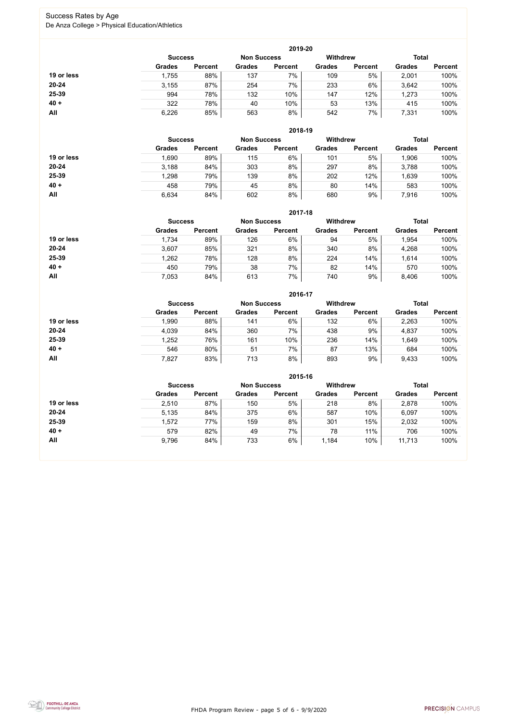FHDA Program Review - page 5 of 6 - 9/9/2020



### Success Rates by Age De Anza College > Physical Education/Athletics

|            |                |                    |               | 2019-20         |               |                |               |                |
|------------|----------------|--------------------|---------------|-----------------|---------------|----------------|---------------|----------------|
|            | <b>Success</b> | <b>Non Success</b> |               | <b>Withdrew</b> |               | <b>Total</b>   |               |                |
|            | <b>Grades</b>  | <b>Percent</b>     | <b>Grades</b> | <b>Percent</b>  | <b>Grades</b> | <b>Percent</b> | <b>Grades</b> | <b>Percent</b> |
| 19 or less | 1,755          | 88%                | 137           | $7\%$           | 109           | 5%             | 2,001         | 100%           |
| $20 - 24$  | 3,155          | 87%                | 254           | 7%              | 233           | 6%             | 3,642         | 100%           |
| 25-39      | 994            | 78%                | 132           | 10%             | 147           | 12%            | 1,273         | 100%           |
| $40 +$     | 322            | 78%                | 40            | 10%             | 53            | 13%            | 415           | 100%           |
| All        | 6,226          | 85%                | 563           | 8%              | 542           | 7%             | 7,331         | 100%           |

|            |                |                    |               | 2018-19         |               |                |               |                |
|------------|----------------|--------------------|---------------|-----------------|---------------|----------------|---------------|----------------|
|            | <b>Success</b> | <b>Non Success</b> |               | <b>Withdrew</b> |               | <b>Total</b>   |               |                |
|            | <b>Grades</b>  | <b>Percent</b>     | <b>Grades</b> | <b>Percent</b>  | <b>Grades</b> | <b>Percent</b> | <b>Grades</b> | <b>Percent</b> |
| 19 or less | 1,690          | 89%                | 115           | 6%              | 101           | 5%             | 1,906         | 100%           |
| $20 - 24$  | 3,188          | 84%                | 303           | 8%              | 297           | 8%             | 3,788         | 100%           |
| 25-39      | 1,298          | 79%                | 139           | 8%              | 202           | 12%            | 1,639         | 100%           |
| $40 +$     | 458            | 79%                | 45            | 8%              | 80            | 14%            | 583           | 100%           |
| All        | 6,634          | 84%                | 602           | 8%              | 680           | 9%             | 7,916         | 100%           |

|            | 2017-18                              |                |               |                |                 |                |               |                |  |
|------------|--------------------------------------|----------------|---------------|----------------|-----------------|----------------|---------------|----------------|--|
|            | <b>Non Success</b><br><b>Success</b> |                |               |                | <b>Withdrew</b> |                | <b>Total</b>  |                |  |
|            | <b>Grades</b>                        | <b>Percent</b> | <b>Grades</b> | <b>Percent</b> | <b>Grades</b>   | <b>Percent</b> | <b>Grades</b> | <b>Percent</b> |  |
| 19 or less | 1,734                                | 89%            | 126           | 6%             | 94              | 5%             | 1,954         | 100%           |  |
| $20 - 24$  | 3,607                                | 85%            | 321           | 8%             | 340             | 8%             | 4,268         | 100%           |  |
| 25-39      | 1,262                                | 78%            | 128           | 8%             | 224             | 14%            | 1,614         | 100%           |  |
| $40 +$     | 450                                  | 79%            | 38            | 7%             | 82              | 14%            | 570           | 100%           |  |
| All        | 7,053                                | 84%            | 613           | 7%             | 740             | 9%             | 8,406         | 100%           |  |

|            |                |                |               | 2016-17            |                 |                |               |                |
|------------|----------------|----------------|---------------|--------------------|-----------------|----------------|---------------|----------------|
|            | <b>Success</b> |                |               | <b>Non Success</b> | <b>Withdrew</b> |                | <b>Total</b>  |                |
|            | <b>Grades</b>  | <b>Percent</b> | <b>Grades</b> | <b>Percent</b>     | <b>Grades</b>   | <b>Percent</b> | <b>Grades</b> | <b>Percent</b> |
| 19 or less | 990.           | 88%            | 141           | 6%                 | 132             | 6%             | 2,263         | 100%           |
| $20 - 24$  | 4,039          | 84%            | 360           | 7%                 | 438             | 9%             | 4,837         | 100%           |
| 25-39      | .252           | 76%            | 161           | 10%                | 236             | 14%            | 1,649         | 100%           |
| $40 +$     | 546            | 80%            | 51            | 7%                 | 87              | 13%            | 684           | 100%           |
| All        | 7,827          | 83%            | 713           | 8%                 | 893             | 9%             | 9,433         | 100%           |

|            | 2015-16        |                    |               |                 |               |                |               |                |  |  |
|------------|----------------|--------------------|---------------|-----------------|---------------|----------------|---------------|----------------|--|--|
|            | <b>Success</b> | <b>Non Success</b> |               | <b>Withdrew</b> |               | <b>Total</b>   |               |                |  |  |
|            | <b>Grades</b>  | <b>Percent</b>     | <b>Grades</b> | <b>Percent</b>  | <b>Grades</b> | <b>Percent</b> | <b>Grades</b> | <b>Percent</b> |  |  |
| 19 or less | 2,510          | 87%                | 150           | 5%              | 218           | 8%             | 2,878         | 100%           |  |  |
| $20 - 24$  | 5,135          | 84%                | 375           | 6%              | 587           | 10%            | 6,097         | 100%           |  |  |
| 25-39      | 1,572          | 77%                | 159           | 8%              | 301           | 15%            | 2,032         | 100%           |  |  |
| $40 +$     | 579            | 82%                | 49            | 7%              | 78            | 11%            | 706           | 100%           |  |  |
| All        | 9,796          | 84%                | 733           | $6\%$           | 1,184         | 10%            | 11,713        | 100%           |  |  |